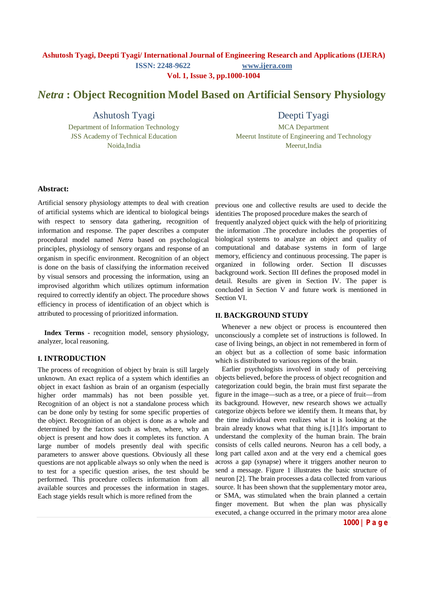**Vol. 1, Issue 3, pp.1000-1004**

# *Netra* **: Object Recognition Model Based on Artificial Sensory Physiology**

Ashutosh Tyagi

Department of Information Technology JSS Academy of Technical Education Noida,India

Deepti Tyagi

MCA Department Meerut Institute of Engineering and Technology Meerut,India

## **Abstract:**

Artificial sensory physiology attempts to deal with creation of artificial systems which are identical to biological beings with respect to sensory data gathering, recognition of information and response. The paper describes a computer procedural model named *Netra* based on psychological principles, physiology of sensory organs and response of an organism in specific environment. Recognition of an object is done on the basis of classifying the information received by visual sensors and processing the information, using an improvised algorithm which utilizes optimum information required to correctly identify an object. The procedure shows efficiency in process of identification of an object which is attributed to processing of prioritized information.

**Index Terms -** recognition model, sensory physiology, analyzer, local reasoning.

# **I. INTRODUCTION**

The process of recognition of object by brain is still largely unknown. An exact replica of a system which identifies an object in exact fashion as brain of an organism (especially higher order mammals) has not been possible yet. Recognition of an object is not a standalone process which can be done only by testing for some specific properties of the object. Recognition of an object is done as a whole and determined by the factors such as when, where, why an object is present and how does it completes its function. A large number of models presently deal with specific parameters to answer above questions. Obviously all these questions are not applicable always so only when the need is to test for a specific question arises, the test should be performed. This procedure collects information from all available sources and processes the information in stages. Each stage yields result which is more refined from the

previous one and collective results are used to decide the identities The proposed procedure makes the search of

frequently analyzed object quick with the help of prioritizing the information .The procedure includes the properties of biological systems to analyze an object and quality of computational and database systems in form of large memory, efficiency and continuous processing. The paper is organized in following order. Section II discusses background work. Section III defines the proposed model in detail. Results are given in Section IV. The paper is concluded in Section V and future work is mentioned in Section VI.

### **II. BACKGROUND STUDY**

Whenever a new object or process is encountered then unconsciously a complete set of instructions is followed. In case of living beings, an object in not remembered in form of an object but as a collection of some basic information which is distributed to various regions of the brain.

Earlier psychologists involved in study of perceiving objects believed, before the process of object recognition and categorization could begin, the brain must first separate the figure in the image—such as a tree, or a piece of fruit—from its background. However, new research shows we actually categorize objects before we identify them. It means that, by the time individual even realizes what it is looking at the brain already knows what that thing is.[1].It's important to understand the complexity of the human brain. The brain consists of cells called neurons. Neuron has a cell body, a long part called axon and at the very end a chemical goes across a gap (synapse) where it triggers another neuron to send a message. Figure 1 illustrates the basic structure of neuron [2]. The brain processes a data collected from various source. It has been shown that the supplementary motor area, or SMA, was stimulated when the brain planned a certain finger movement. But when the plan was physically executed, a change occurred in the primary motor area alone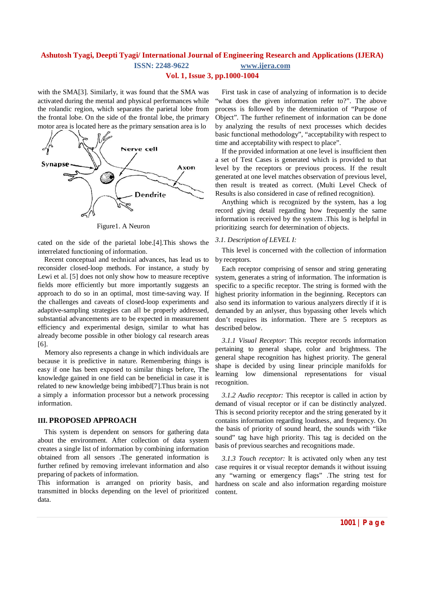**Vol. 1, Issue 3, pp.1000-1004**

with the SMA[3]. Similarly, it was found that the SMA was activated during the mental and physical performances while the rolandic region, which separates the parietal lobe from the frontal lobe. On the side of the frontal lobe, the primary motor area is located here as the primary sensation area is lo



Figure1. A Neuron

cated on the side of the parietal lobe.[4].This shows the interrelated functioning of information.

Recent conceptual and technical advances, has lead us to reconsider closed-loop methods. For instance, a study by Lewi et al. [5] does not only show how to measure receptive fields more efficiently but more importantly suggests an approach to do so in an optimal, most time-saving way. If the challenges and caveats of closed-loop experiments and adaptive-sampling strategies can all be properly addressed, substantial advancements are to be expected in measurement efficiency and experimental design, similar to what has already become possible in other biology cal research areas [6].

Memory also represents a change in which individuals are because it is predictive in nature. Remembering things is easy if one has been exposed to similar things before, The knowledge gained in one field can be beneficial in case it is related to new knowledge being imbibed[7].Thus brain is not a simply a information processor but a network processing information.

# **III. PROPOSED APPROACH**

This system is dependent on sensors for gathering data about the environment. After collection of data system creates a single list of information by combining information obtained from all sensors .The generated information is further refined by removing irrelevant information and also preparing of packets of information.

This information is arranged on priority basis, and transmitted in blocks depending on the level of prioritized data.

First task in case of analyzing of information is to decide "what does the given information refer to?". The above process is followed by the determination of "Purpose of Object". The further refinement of information can be done by analyzing the results of next processes which decides basic functional methodology", "acceptability with respect to time and acceptability with respect to place".

If the provided information at one level is insufficient then a set of Test Cases is generated which is provided to that level by the receptors or previous process. If the result generated at one level matches observation of previous level, then result is treated as correct. (Multi Level Check of Results is also considered in case of refined recognition).

Anything which is recognized by the system, has a log record giving detail regarding how frequently the same information is received by the system .This log is helpful in prioritizing search for determination of objects.

# *3.1. Description of LEVEL I:*

This level is concerned with the collection of information by receptors.

Each receptor comprising of sensor and string generating system, generates a string of information. The information is specific to a specific receptor. The string is formed with the highest priority information in the beginning. Receptors can also send its information to various analyzers directly if it is demanded by an anlyser, thus bypassing other levels which don't requires its information. There are 5 receptors as described below.

*3.1.1 Visual Receptor*: This receptor records information pertaining to general shape, color and brightness. The general shape recognition has highest priority. The general shape is decided by using linear principle manifolds for learning low dimensional representations for visual recognition.

*3.1.2 Audio receptor:* This receptor is called in action by demand of visual receptor or if can be distinctly analyzed. This is second priority receptor and the string generated by it contains information regarding loudness, and frequency. On the basis of priority of sound heard, the sounds with "like sound" tag have high priority. This tag is decided on the basis of previous searches and recognitions made.

*3.1.3 Touch receptor:* It is activated only when any test case requires it or visual receptor demands it without issuing any "warning or emergency flags" .The string test for hardness on scale and also information regarding moisture content.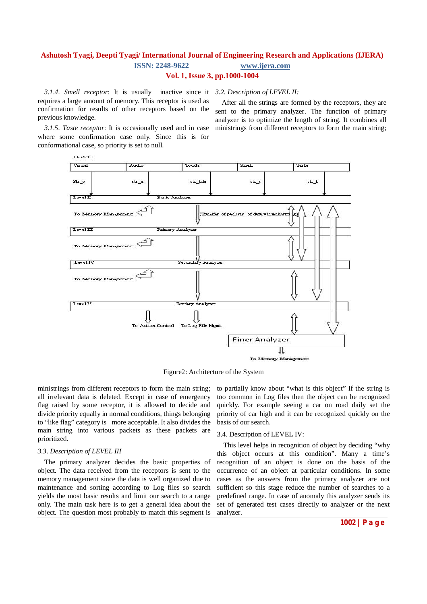*3.1.4. Smell receptor*: It is usually inactive since it *3.2. Description of LEVEL II:* requires a large amount of memory. This receptor is used as confirmation for results of other receptors based on the previous knowledge.

After all the strings are formed by the receptors, they are sent to the primary analyzer. The function of primary analyzer is to optimize the length of string. It combines all ministrings from different receptors to form the main string;

*3.1.5. Taste receptor*: It is occasionally used and in case where some confirmation case only. Since this is for conformational case, so priority is set to null.



Figure2: Architecture of the System

ministrings from different receptors to form the main string; all irrelevant data is deleted. Except in case of emergency flag raised by some receptor, it is allowed to decide and divide priority equally in normal conditions, things belonging to "like flag" category is more acceptable. It also divides the main string into various packets as these packets are prioritized.

# *3.3. Description of LEVEL III*

The primary analyzer decides the basic properties of object. The data received from the receptors is sent to the memory management since the data is well organized due to maintenance and sorting according to Log files so search yields the most basic results and limit our search to a range only. The main task here is to get a general idea about the object. The question most probably to match this segment is to partially know about "what is this object" If the string is too common in Log files then the object can be recognized quickly. For example seeing a car on road daily set the priority of car high and it can be recognized quickly on the basis of our search.

#### 3.4. Description of LEVEL IV:

This level helps in recognition of object by deciding "why this object occurs at this condition". Many a time's recognition of an object is done on the basis of the occurrence of an object at particular conditions. In some cases as the answers from the primary analyzer are not sufficient so this stage reduce the number of searches to a predefined range. In case of anomaly this analyzer sends its set of generated test cases directly to analyzer or the next analyzer.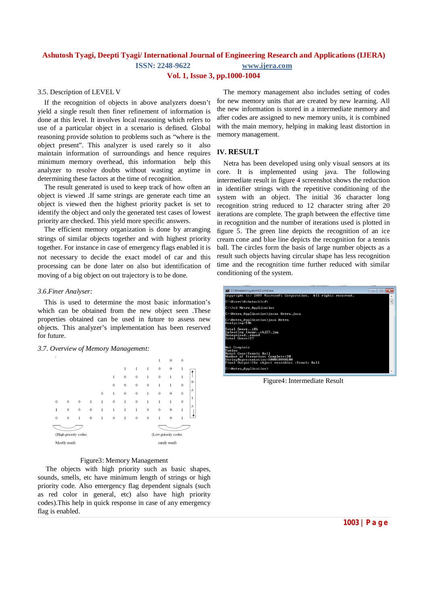**Vol. 1, Issue 3, pp.1000-1004**

### 3.5. Description of LEVEL V

If the recognition of objects in above analyzers doesn't yield a single result then finer refinement of information is done at this level. It involves local reasoning which refers to use of a particular object in a scenario is defined. Global reasoning provide solution to problems such as "where is the object present". This analyzer is used rarely so it also maintain information of surroundings and hence requires minimum memory overhead, this information help this analyzer to resolve doubts without wasting anytime in determining these factors at the time of recognition.

The result generated is used to keep track of how often an object is viewed .If same strings are generate each time an object is viewed then the highest priority packet is set to identify the object and only the generated test cases of lowest priority are checked. This yield more specific answers.

The efficient memory organization is done by arranging strings of similar objects together and with highest priority together. For instance in case of emergency flags enabled it is not necessary to decide the exact model of car and this processing can be done later on also but identification of moving of a big object on out trajectory is to be done.

#### *3.6.Finer Analyser:*

This is used to determine the most basic information's which can be obtained from the new object seen .These properties obtained can be used in future to assess new objects. This analyzer's implementation has been reserved for future.

#### *3.7. Overview of Memory Management:*



### Figure3: Memory Management

The objects with high priority such as basic shapes, sounds, smells, etc have minimum length of strings or high priority code. Also emergency flag dependent signals (such as red color in general, etc) also have high priority codes).This help in quick response in case of any emergency flag is enabled.

The memory management also includes setting of codes for new memory units that are created by new learning. All the new information is stored in a intermediate memory and after codes are assigned to new memory units, it is combined with the main memory, helping in making least distortion in memory management.

### **IV. RESULT**

Netra has been developed using only visual sensors at its core. It is implemented using java. The following intermediate result in figure 4 screenshot shows the reduction in identifier strings with the repetitive conditioning of the system with an object. The initial 36 character long recognition string reduced to 12 character string after 20 iterations are complete. The graph between the effective time in recognition and the number of iterations used is plotted in figure 5. The green line depicts the recognition of an ice cream cone and blue line depicts the recognition for a tennis ball. The circles form the basis of large number objects as a result such objects having circular shape has less recognition time and the recognition time further reduced with similar conditioning of the system.

| <b>BB</b> C:\Windows\system32\cmd.exe                                                                                                                                       |  | a |
|-----------------------------------------------------------------------------------------------------------------------------------------------------------------------------|--|---|
| Copuright (c) 2009 Microsoft Corporation. All rights reserved.                                                                                                              |  |   |
| C:\Users\Ashutosh>cd\                                                                                                                                                       |  |   |
| C:\>cd Netra_Application                                                                                                                                                    |  |   |
| C:\Netra_Application>javac Netra.java                                                                                                                                       |  |   |
| C:\Netra_Application>java Netra<br>Analuzing:106                                                                                                                            |  |   |
| Total Genre106<br>Uploading Imageobj27.jpg<br>Recognisedround<br>Total Genre:27                                                                                             |  |   |
| Not Complete<br>Tuning<br>Match Case:Tennis Ball<br>Number of Iterations Complete:20<br>StringRepresentation:100010000100<br>Final Output:The object resembles :Tennis Ball |  |   |
| C:\Netra_Application>                                                                                                                                                       |  |   |

Figure4: Intermediate Result